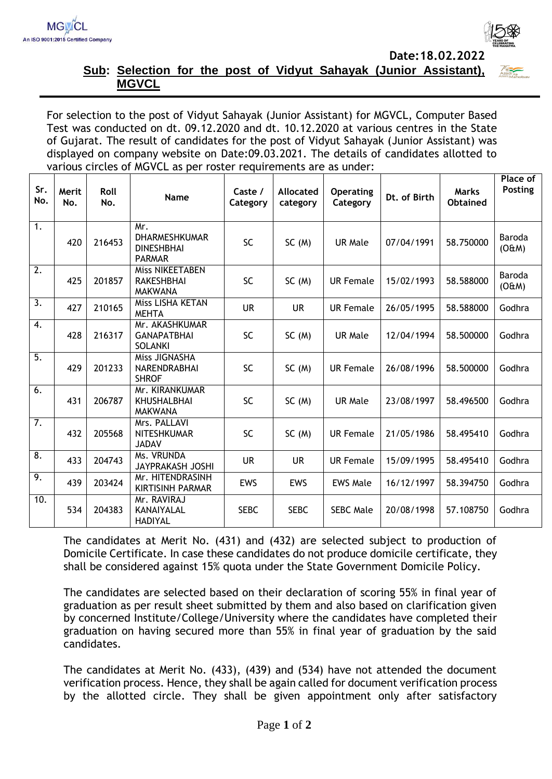



## **Sub: Selection for the post of Vidyut Sahayak (Junior Assistant), MGVCL**

For selection to the post of Vidyut Sahayak (Junior Assistant) for MGVCL, Computer Based Test was conducted on dt. 09.12.2020 and dt. 10.12.2020 at various centres in the State of Gujarat. The result of candidates for the post of Vidyut Sahayak (Junior Assistant) was displayed on company website on Date:09.03.2021. The details of candidates allotted to various circles of MGVCL as per roster requirements are as under:

| Sr.<br>No.       | Merit<br>No. | Roll<br>No. | Name                                                              | Caste /<br>Category | <b>Allocated</b><br>category | <b>Operating</b><br>Category | Dt. of Birth | <b>Marks</b><br><b>Obtained</b> | Place of<br>Posting |
|------------------|--------------|-------------|-------------------------------------------------------------------|---------------------|------------------------------|------------------------------|--------------|---------------------------------|---------------------|
| 1.               | 420          | 216453      | Mr.<br><b>DHARMESHKUMAR</b><br><b>DINESHBHAI</b><br><b>PARMAR</b> | SC                  | SC(M)                        | <b>UR Male</b>               | 07/04/1991   | 58.750000                       | Baroda<br>(O&M)     |
| 2.               | 425          | 201857      | <b>Miss NIKEETABEN</b><br><b>RAKESHBHAI</b><br><b>MAKWANA</b>     | SC                  | SC(M)                        | <b>UR Female</b>             | 15/02/1993   | 58.588000                       | Baroda<br>(O#M)     |
| $\overline{3}$ . | 427          | 210165      | Miss LISHA KETAN<br><b>MEHTA</b>                                  | <b>UR</b>           | <b>UR</b>                    | <b>UR Female</b>             | 26/05/1995   | 58.588000                       | Godhra              |
| 4.               | 428          | 216317      | Mr. AKASHKUMAR<br><b>GANAPATBHAI</b><br><b>SOLANKI</b>            | SC                  | SC(M)                        | UR Male                      | 12/04/1994   | 58.500000                       | Godhra              |
| $\overline{5}$ . | 429          | 201233      | Miss JIGNASHA<br>NARENDRABHAI<br><b>SHROF</b>                     | SC                  | SC(M)                        | <b>UR Female</b>             | 26/08/1996   | 58.500000                       | Godhra              |
| 6.               | 431          | 206787      | Mr. KIRANKUMAR<br><b>KHUSHALBHAI</b><br><b>MAKWANA</b>            | <b>SC</b>           | SC(M)                        | <b>UR Male</b>               | 23/08/1997   | 58.496500                       | Godhra              |
| $\overline{7}$ . | 432          | 205568      | Mrs. PALLAVI<br><b>NITESHKUMAR</b><br><b>JADAV</b>                | <b>SC</b>           | SC(M)                        | <b>UR Female</b>             | 21/05/1986   | 58.495410                       | Godhra              |
| $\overline{8}$ . | 433          | 204743      | Ms. VRUNDA<br><b>JAYPRAKASH JOSHI</b>                             | <b>UR</b>           | <b>UR</b>                    | <b>UR Female</b>             | 15/09/1995   | 58.495410                       | Godhra              |
| 9.               | 439          | 203424      | Mr. HITENDRASINH<br><b>KIRTISINH PARMAR</b>                       | EWS                 | <b>EWS</b>                   | <b>EWS Male</b>              | 16/12/1997   | 58.394750                       | Godhra              |
| 10.              | 534          | 204383      | Mr. RAVIRAJ<br>KANAIYALAL<br><b>HADIYAL</b>                       | <b>SEBC</b>         | <b>SEBC</b>                  | <b>SEBC Male</b>             | 20/08/1998   | 57.108750                       | Godhra              |

The candidates at Merit No. (431) and (432) are selected subject to production of Domicile Certificate. In case these candidates do not produce domicile certificate, they shall be considered against 15% quota under the State Government Domicile Policy.

The candidates are selected based on their declaration of scoring 55% in final year of graduation as per result sheet submitted by them and also based on clarification given by concerned Institute/College/University where the candidates have completed their graduation on having secured more than 55% in final year of graduation by the said candidates.

The candidates at Merit No. (433), (439) and (534) have not attended the document verification process. Hence, they shall be again called for document verification process by the allotted circle. They shall be given appointment only after satisfactory